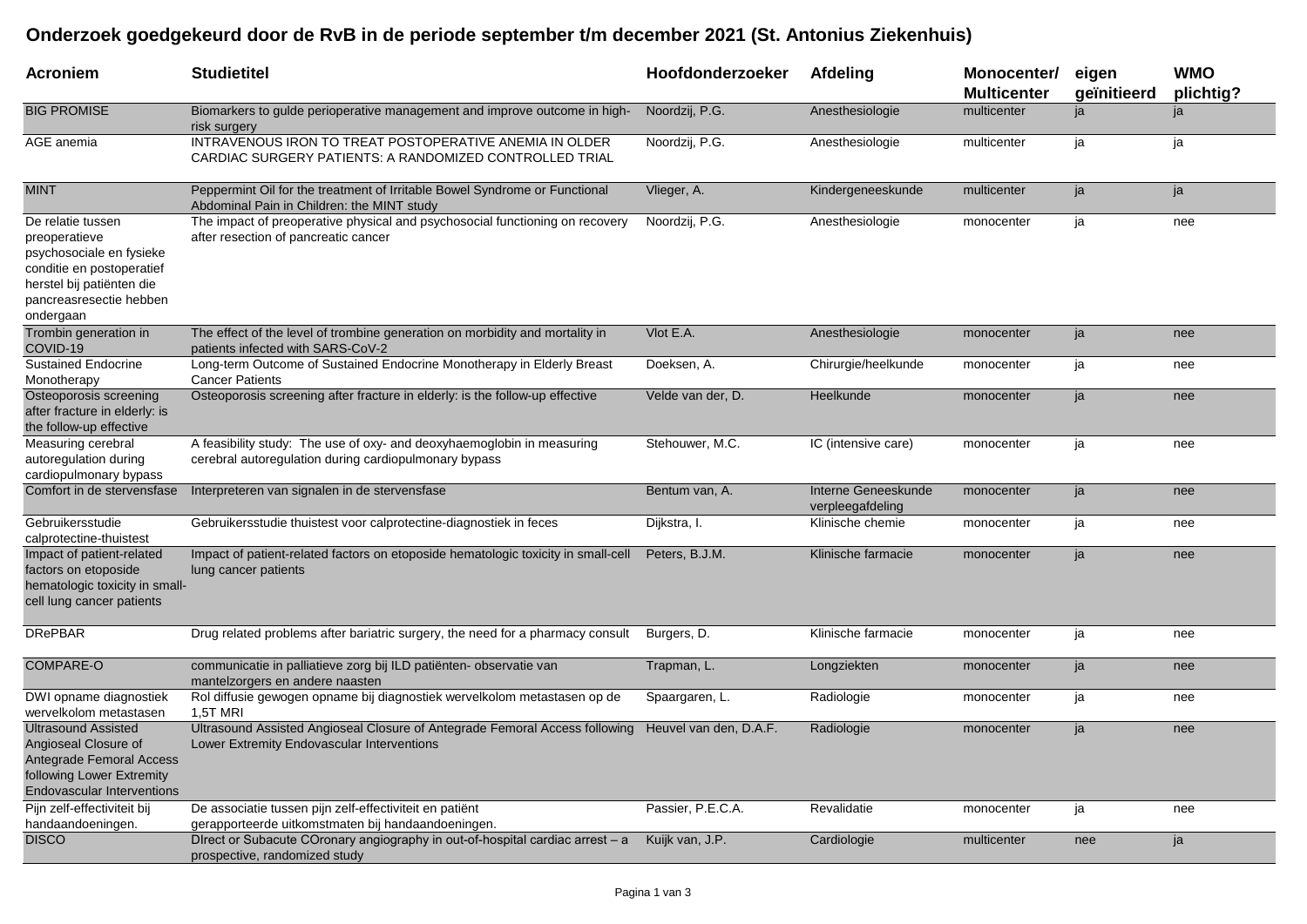## **Onderzoek goedgekeurd door de RvB in de periode september t/m december 2021 (St. Antonius Ziekenhuis)**

| Acroniem                                                                                                                                                         | <b>Studietitel</b>                                                                                                                               | Hoofdonderzoeker  | Afdeling                                | Monocenter/<br><b>Multicenter</b> | eigen<br>geïnitieerd | <b>WMO</b><br>plichtig? |
|------------------------------------------------------------------------------------------------------------------------------------------------------------------|--------------------------------------------------------------------------------------------------------------------------------------------------|-------------------|-----------------------------------------|-----------------------------------|----------------------|-------------------------|
| <b>BIG PROMISE</b>                                                                                                                                               | Biomarkers to gulde perioperative management and improve outcome in high-<br>risk surgery                                                        | Noordzij, P.G.    | Anesthesiologie                         | multicenter                       | ja                   | ja                      |
| AGE anemia                                                                                                                                                       | INTRAVENOUS IRON TO TREAT POSTOPERATIVE ANEMIA IN OLDER<br>CARDIAC SURGERY PATIENTS: A RANDOMIZED CONTROLLED TRIAL                               | Noordzij, P.G.    | Anesthesiologie                         | multicenter                       | ja                   | ja                      |
| <b>MINT</b>                                                                                                                                                      | Peppermint Oil for the treatment of Irritable Bowel Syndrome or Functional<br>Abdominal Pain in Children: the MINT study                         | Vlieger, A.       | Kindergeneeskunde                       | multicenter                       | ja                   | ja                      |
| De relatie tussen<br>preoperatieve<br>psychosociale en fysieke<br>conditie en postoperatief<br>herstel bij patiënten die<br>pancreasresectie hebben<br>ondergaan | The impact of preoperative physical and psychosocial functioning on recovery<br>after resection of pancreatic cancer                             | Noordzij, P.G.    | Anesthesiologie                         | monocenter                        | ja                   | nee                     |
| Trombin generation in<br>COVID-19                                                                                                                                | The effect of the level of trombine generation on morbidity and mortality in<br>patients infected with SARS-CoV-2                                | Vlot E.A.         | Anesthesiologie                         | monocenter                        | ja                   | nee                     |
| <b>Sustained Endocrine</b><br>Monotherapy                                                                                                                        | Long-term Outcome of Sustained Endocrine Monotherapy in Elderly Breast<br><b>Cancer Patients</b>                                                 | Doeksen, A.       | Chirurgie/heelkunde                     | monocenter                        | ja                   | nee                     |
| Osteoporosis screening<br>after fracture in elderly: is<br>the follow-up effective                                                                               | Osteoporosis screening after fracture in elderly: is the follow-up effective                                                                     | Velde van der, D. | Heelkunde                               | monocenter                        | ja                   | nee                     |
| Measuring cerebral<br>autoregulation during<br>cardiopulmonary bypass                                                                                            | A feasibility study: The use of oxy- and deoxyhaemoglobin in measuring<br>cerebral autoregulation during cardiopulmonary bypass                  | Stehouwer, M.C.   | IC (intensive care)                     | monocenter                        | ja                   | nee                     |
| Comfort in de stervensfase                                                                                                                                       | Interpreteren van signalen in de stervensfase                                                                                                    | Bentum van, A.    | Interne Geneeskunde<br>verpleegafdeling | monocenter                        | ja                   | nee                     |
| Gebruikersstudie<br>calprotectine-thuistest                                                                                                                      | Gebruikersstudie thuistest voor calprotectine-diagnostiek in feces                                                                               | Dijkstra, I.      | Klinische chemie                        | monocenter                        | ja                   | nee                     |
| Impact of patient-related<br>factors on etoposide<br>hematologic toxicity in small-<br>cell lung cancer patients                                                 | Impact of patient-related factors on etoposide hematologic toxicity in small-cell<br>lung cancer patients                                        | Peters, B.J.M.    | Klinische farmacie                      | monocenter                        | ja                   | nee                     |
| <b>DRePBAR</b>                                                                                                                                                   | Drug related problems after bariatric surgery, the need for a pharmacy consult                                                                   | Burgers, D.       | Klinische farmacie                      | monocenter                        | ja                   | nee                     |
| <b>COMPARE-O</b>                                                                                                                                                 | communicatie in palliatieve zorg bij ILD patiënten- observatie van<br>mantelzorgers en andere naasten                                            | Trapman, L.       | Longziekten                             | monocenter                        | ja                   | nee                     |
| DWI opname diagnostiek<br>wervelkolom metastasen                                                                                                                 | Rol diffusie gewogen opname bij diagnostiek wervelkolom metastasen op de<br>1,5T MRI                                                             | Spaargaren, L.    | Radiologie                              | monocenter                        | ja                   | nee                     |
| <b>Ultrasound Assisted</b><br>Angioseal Closure of<br>Antegrade Femoral Access<br>following Lower Extremity<br><b>Endovascular Interventions</b>                 | Ultrasound Assisted Angioseal Closure of Antegrade Femoral Access following Heuvel van den, D.A.F.<br>Lower Extremity Endovascular Interventions |                   | Radiologie                              | monocenter                        | ja                   | nee                     |
| Pijn zelf-effectiviteit bij<br>handaandoeningen.                                                                                                                 | De associatie tussen pijn zelf-effectiviteit en patiënt<br>gerapporteerde uitkomstmaten bij handaandoeningen.                                    | Passier, P.E.C.A. | Revalidatie                             | monocenter                        | ja                   | nee                     |
| <b>DISCO</b>                                                                                                                                                     | Direct or Subacute COronary angiography in out-of-hospital cardiac arrest – a<br>prospective, randomized study                                   | Kuijk van, J.P.   | Cardiologie                             | multicenter                       | nee                  | ja                      |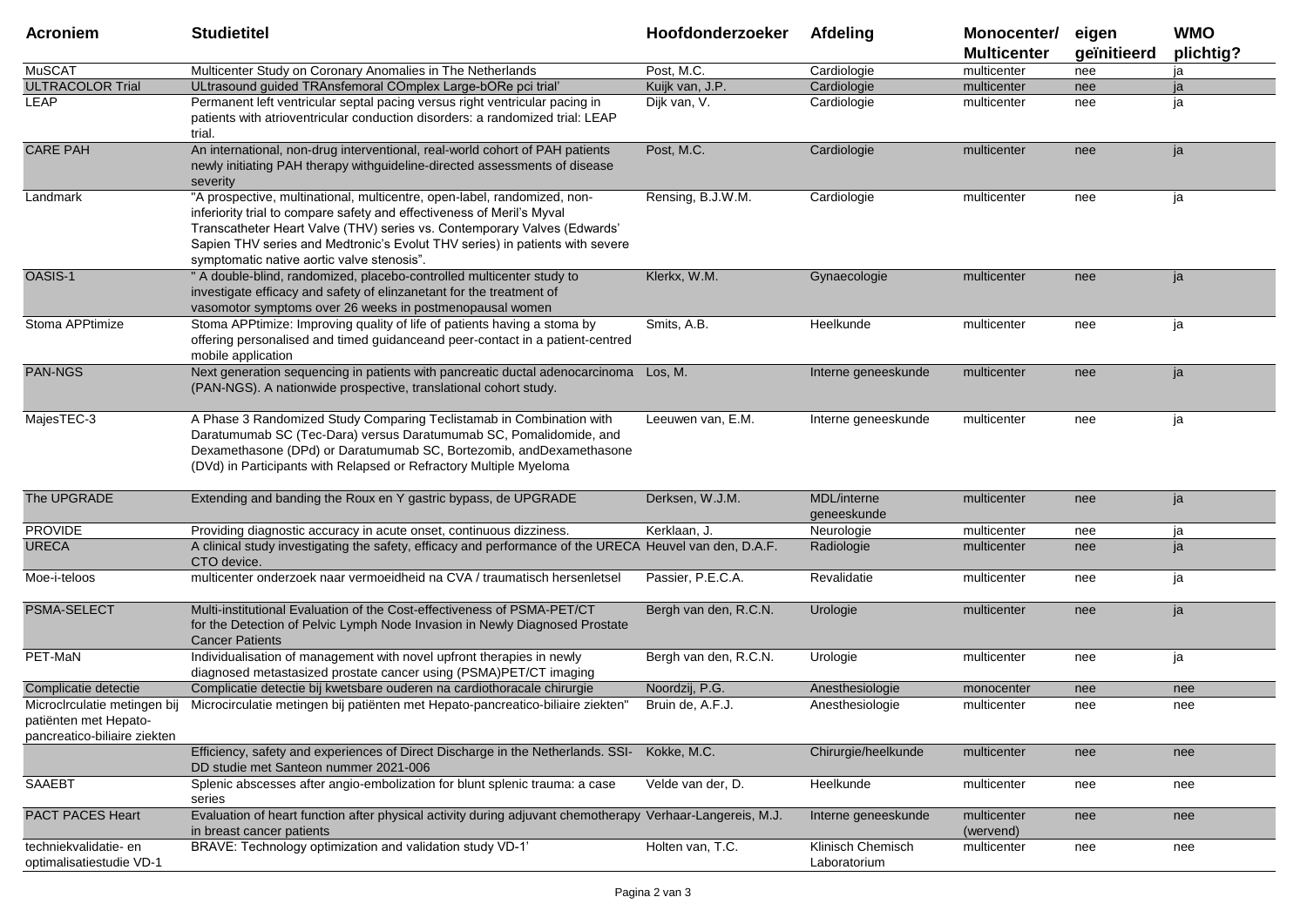| <b>Acroniem</b>                                                                       | <b>Studietitel</b>                                                                                                                                                                                                                                                                                                                                           | Hoofdonderzoeker      | Afdeling                          | Monocenter/<br><b>Multicenter</b> | eigen<br>geïnitieerd | <b>WMO</b><br>plichtig? |
|---------------------------------------------------------------------------------------|--------------------------------------------------------------------------------------------------------------------------------------------------------------------------------------------------------------------------------------------------------------------------------------------------------------------------------------------------------------|-----------------------|-----------------------------------|-----------------------------------|----------------------|-------------------------|
| <b>MuSCAT</b>                                                                         | Multicenter Study on Coronary Anomalies in The Netherlands                                                                                                                                                                                                                                                                                                   | Post, M.C.            | Cardiologie                       | multicenter                       | nee                  | ja                      |
| <b>ULTRACOLOR Trial</b>                                                               | ULtrasound guided TRAnsfemoral COmplex Large-bORe pci trial'                                                                                                                                                                                                                                                                                                 | Kuijk van, J.P.       | Cardiologie                       | multicenter                       | nee                  | ia                      |
| LEAP                                                                                  | Permanent left ventricular septal pacing versus right ventricular pacing in<br>patients with atrioventricular conduction disorders: a randomized trial: LEAP<br>trial.                                                                                                                                                                                       | Dijk van, V.          | Cardiologie                       | multicenter                       | nee                  | ia                      |
| <b>CARE PAH</b>                                                                       | An international, non-drug interventional, real-world cohort of PAH patients<br>newly initiating PAH therapy withguideline-directed assessments of disease<br>severity                                                                                                                                                                                       | Post, M.C.            | Cardiologie                       | multicenter                       | nee                  | ja                      |
| Landmark                                                                              | "A prospective, multinational, multicentre, open-label, randomized, non-<br>inferiority trial to compare safety and effectiveness of Meril's Myval<br>Transcatheter Heart Valve (THV) series vs. Contemporary Valves (Edwards'<br>Sapien THV series and Medtronic's Evolut THV series) in patients with severe<br>symptomatic native aortic valve stenosis". | Rensing, B.J.W.M.     | Cardiologie                       | multicenter                       | nee                  | ja                      |
| OASIS-1                                                                               | " A double-blind, randomized, placebo-controlled multicenter study to<br>investigate efficacy and safety of elinzanetant for the treatment of<br>vasomotor symptoms over 26 weeks in postmenopausal women                                                                                                                                                    | Klerkx, W.M.          | Gynaecologie                      | multicenter                       | nee                  | ja                      |
| Stoma APPtimize                                                                       | Stoma APPtimize: Improving quality of life of patients having a stoma by<br>offering personalised and timed guidanceand peer-contact in a patient-centred<br>mobile application                                                                                                                                                                              | Smits, A.B.           | Heelkunde                         | multicenter                       | nee                  | ja                      |
| <b>PAN-NGS</b>                                                                        | Next generation sequencing in patients with pancreatic ductal adenocarcinoma Los, M.<br>(PAN-NGS). A nationwide prospective, translational cohort study.                                                                                                                                                                                                     |                       | Interne geneeskunde               | multicenter                       | nee                  | ja                      |
| MajesTEC-3                                                                            | A Phase 3 Randomized Study Comparing Teclistamab in Combination with<br>Daratumumab SC (Tec-Dara) versus Daratumumab SC, Pomalidomide, and<br>Dexamethasone (DPd) or Daratumumab SC, Bortezomib, andDexamethasone<br>(DVd) in Participants with Relapsed or Refractory Multiple Myeloma                                                                      | Leeuwen van, E.M.     | Interne geneeskunde               | multicenter                       | nee                  | ja                      |
| The UPGRADE                                                                           | Extending and banding the Roux en Y gastric bypass, de UPGRADE                                                                                                                                                                                                                                                                                               | Derksen, W.J.M.       | <b>MDL/interne</b><br>geneeskunde | multicenter                       | nee                  | ja                      |
| <b>PROVIDE</b>                                                                        | Providing diagnostic accuracy in acute onset, continuous dizziness.                                                                                                                                                                                                                                                                                          | Kerklaan, J.          | Neurologie                        | multicenter                       | nee                  | ja                      |
| <b>URECA</b>                                                                          | A clinical study investigating the safety, efficacy and performance of the URECA Heuvel van den, D.A.F.<br>CTO device.                                                                                                                                                                                                                                       |                       | Radiologie                        | multicenter                       | nee                  | ja                      |
| Moe-i-teloos                                                                          | multicenter onderzoek naar vermoeidheid na CVA / traumatisch hersenletsel                                                                                                                                                                                                                                                                                    | Passier, P.E.C.A.     | Revalidatie                       | multicenter                       | nee                  | ja                      |
| PSMA-SELECT                                                                           | Multi-institutional Evaluation of the Cost-effectiveness of PSMA-PET/CT<br>for the Detection of Pelvic Lymph Node Invasion in Newly Diagnosed Prostate<br><b>Cancer Patients</b>                                                                                                                                                                             | Bergh van den, R.C.N. | Urologie                          | multicenter                       | nee                  | ja                      |
| PET-MaN                                                                               | Individualisation of management with novel upfront therapies in newly<br>diagnosed metastasized prostate cancer using (PSMA)PET/CT imaging                                                                                                                                                                                                                   | Bergh van den, R.C.N. | Urologie                          | multicenter                       | nee                  | ja                      |
| Complicatie detectie                                                                  | Complicatie detectie bij kwetsbare ouderen na cardiothoracale chirurgie                                                                                                                                                                                                                                                                                      | Noordzij, P.G.        | Anesthesiologie                   | monocenter                        | nee                  | nee                     |
| Microclrculatie metingen bij<br>patienten met Hepato-<br>pancreatico-biliaire ziekten | Microcirculatie metingen bij patiënten met Hepato-pancreatico-biliaire ziekten"                                                                                                                                                                                                                                                                              | Bruin de, A.F.J.      | Anesthesiologie                   | multicenter                       | nee                  | nee                     |
|                                                                                       | Efficiency, safety and experiences of Direct Discharge in the Netherlands. SSI-<br>DD studie met Santeon nummer 2021-006                                                                                                                                                                                                                                     | Kokke, M.C.           | Chirurgie/heelkunde               | multicenter                       | nee                  | nee                     |
| <b>SAAEBT</b>                                                                         | Splenic abscesses after angio-embolization for blunt splenic trauma: a case<br>series                                                                                                                                                                                                                                                                        | Velde van der, D.     | Heelkunde                         | multicenter                       | nee                  | nee                     |
| <b>PACT PACES Heart</b>                                                               | Evaluation of heart function after physical activity during adjuvant chemotherapy Verhaar-Langereis, M.J.<br>in breast cancer patients                                                                                                                                                                                                                       |                       | Interne geneeskunde               | multicenter<br>(wervend)          | nee                  | nee                     |
| techniekvalidatie- en<br>optimalisatiestudie VD-1                                     | BRAVE: Technology optimization and validation study VD-1'                                                                                                                                                                                                                                                                                                    | Holten van, T.C.      | Klinisch Chemisch<br>Laboratorium | multicenter                       | nee                  | nee                     |